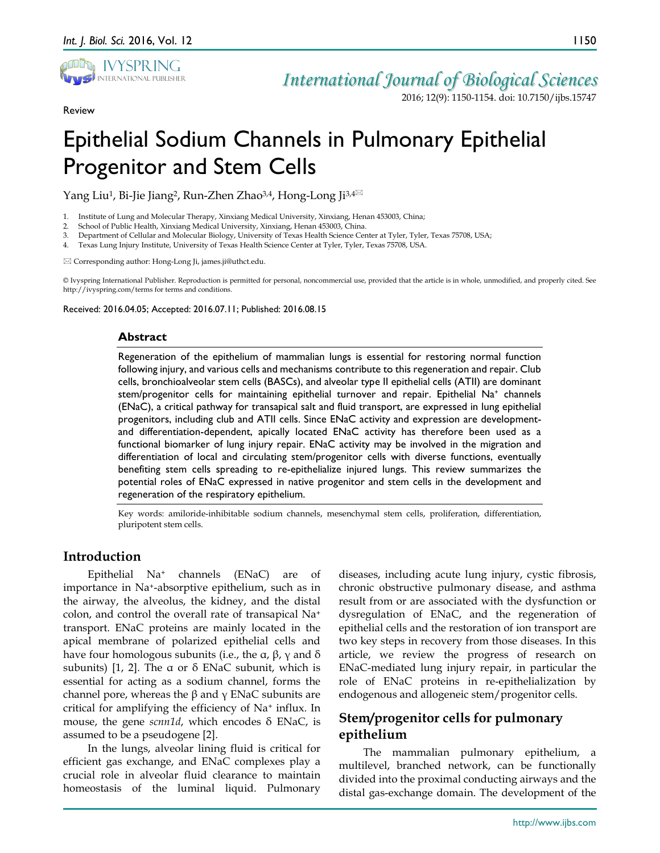

Review

# *International Journal of Biological Sciences*

2016; 12(9): 1150-1154. doi: 10.7150/ijbs.15747

# Epithelial Sodium Channels in Pulmonary Epithelial Progenitor and Stem Cells

Yang Liu<sup>1</sup>, Bi-Jie Jiang<sup>2</sup>, Run-Zhen Zhao<sup>3,4</sup>, Hong-Long Ji<sup>3,4⊠</sup>

1. Institute of Lung and Molecular Therapy, Xinxiang Medical University, Xinxiang, Henan 453003, China;

2. School of Public Health, Xinxiang Medical University, Xinxiang, Henan 453003, China.

3. Department of Cellular and Molecular Biology, University of Texas Health Science Center at Tyler, Tyler, Texas 75708, USA;

4. Texas Lung Injury Institute, University of Texas Health Science Center at Tyler, Tyler, Texas 75708, USA.

 $\boxtimes$  Corresponding author: Hong-Long Ji, james.ji@uthct.edu.

© Ivyspring International Publisher. Reproduction is permitted for personal, noncommercial use, provided that the article is in whole, unmodified, and properly cited. See http://ivyspring.com/terms for terms and conditions.

Received: 2016.04.05; Accepted: 2016.07.11; Published: 2016.08.15

#### **Abstract**

Regeneration of the epithelium of mammalian lungs is essential for restoring normal function following injury, and various cells and mechanisms contribute to this regeneration and repair. Club cells, bronchioalveolar stem cells (BASCs), and alveolar type II epithelial cells (ATII) are dominant stem/progenitor cells for maintaining epithelial turnover and repair. Epithelial Na<sup>+</sup> channels (ENaC), a critical pathway for transapical salt and fluid transport, are expressed in lung epithelial progenitors, including club and ATII cells. Since ENaC activity and expression are developmentand differentiation-dependent, apically located ENaC activity has therefore been used as a functional biomarker of lung injury repair. ENaC activity may be involved in the migration and differentiation of local and circulating stem/progenitor cells with diverse functions, eventually benefiting stem cells spreading to re-epithelialize injured lungs. This review summarizes the potential roles of ENaC expressed in native progenitor and stem cells in the development and regeneration of the respiratory epithelium.

Key words: amiloride-inhibitable sodium channels, mesenchymal stem cells, proliferation, differentiation, pluripotent stem cells.

## **Introduction**

Epithelial Na+ channels (ENaC) are of importance in Na+-absorptive epithelium, such as in the airway, the alveolus, the kidney, and the distal colon, and control the overall rate of transapical Na+ transport. ENaC proteins are mainly located in the apical membrane of polarized epithelial cells and have four homologous subunits (i.e., the α, β, γ and δ subunits) [1, 2]. The  $\alpha$  or  $\delta$  ENaC subunit, which is essential for acting as a sodium channel, forms the channel pore, whereas the β and γ ENaC subunits are critical for amplifying the efficiency of Na+ influx. In mouse, the gene *scnn1d*, which encodes δ ENaC, is assumed to be a pseudogene [2].

In the lungs, alveolar lining fluid is critical for efficient gas exchange, and ENaC complexes play a crucial role in alveolar fluid clearance to maintain homeostasis of the luminal liquid. Pulmonary

diseases, including acute lung injury, cystic fibrosis, chronic obstructive pulmonary disease, and asthma result from or are associated with the dysfunction or dysregulation of ENaC, and the regeneration of epithelial cells and the restoration of ion transport are two key steps in recovery from those diseases. In this article, we review the progress of research on ENaC-mediated lung injury repair, in particular the role of ENaC proteins in re-epithelialization by endogenous and allogeneic stem/progenitor cells.

# **Stem/progenitor cells for pulmonary epithelium**

The mammalian pulmonary epithelium, a multilevel, branched network, can be functionally divided into the proximal conducting airways and the distal gas-exchange domain. The development of the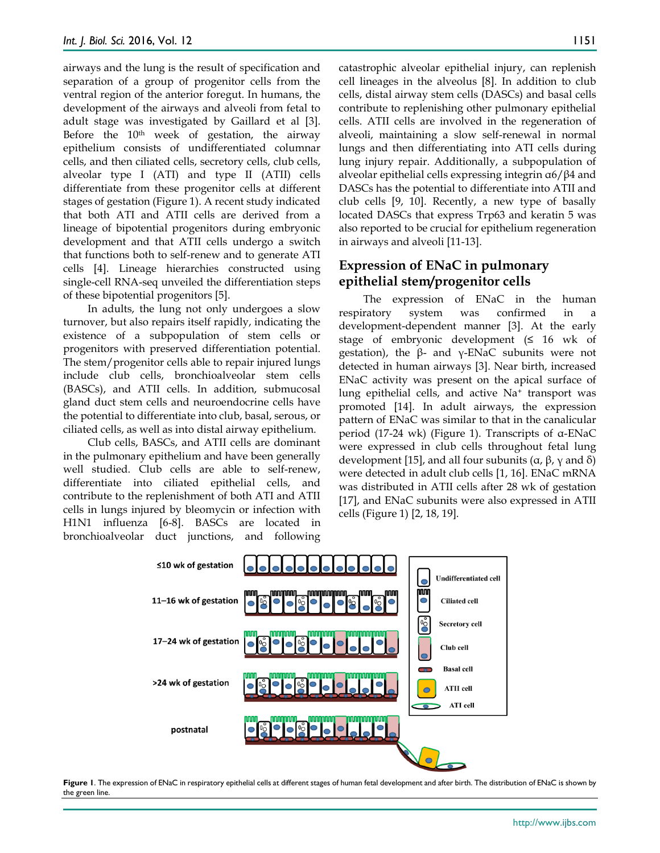airways and the lung is the result of specification and separation of a group of progenitor cells from the ventral region of the anterior foregut. In humans, the development of the airways and alveoli from fetal to adult stage was investigated by Gaillard et al [3]. Before the  $10<sup>th</sup>$  week of gestation, the airway epithelium consists of undifferentiated columnar cells, and then ciliated cells, secretory cells, club cells, alveolar type I (ATI) and type II (ATII) cells differentiate from these progenitor cells at different stages of gestation (Figure 1). A recent study indicated that both ATI and ATII cells are derived from a lineage of bipotential progenitors during embryonic development and that ATII cells undergo a switch that functions both to self-renew and to generate ATI cells [4]. Lineage hierarchies constructed using single-cell RNA-seq unveiled the differentiation steps of these bipotential progenitors [5].

In adults, the lung not only undergoes a slow turnover, but also repairs itself rapidly, indicating the existence of a subpopulation of stem cells or progenitors with preserved differentiation potential. The stem/progenitor cells able to repair injured lungs include club cells, bronchioalveolar stem cells (BASCs), and ATII cells. In addition, submucosal gland duct stem cells and neuroendocrine cells have the potential to differentiate into club, basal, serous, or ciliated cells, as well as into distal airway epithelium.

Club cells, BASCs, and ATII cells are dominant in the pulmonary epithelium and have been generally well studied. Club cells are able to self-renew, differentiate into ciliated epithelial cells, and contribute to the replenishment of both ATI and ATII cells in lungs injured by bleomycin or infection with H1N1 influenza [6-8]. BASCs are located in bronchioalveolar duct junctions, and following

catastrophic alveolar epithelial injury, can replenish cell lineages in the alveolus [8]. In addition to club cells, distal airway stem cells (DASCs) and basal cells contribute to replenishing other pulmonary epithelial cells. ATII cells are involved in the regeneration of alveoli, maintaining a slow self-renewal in normal lungs and then differentiating into ATI cells during lung injury repair. Additionally, a subpopulation of alveolar epithelial cells expressing integrin α6/β4 and DASCs has the potential to differentiate into ATII and club cells [9, 10]. Recently, a new type of basally located DASCs that express Trp63 and keratin 5 was also reported to be crucial for epithelium regeneration in airways and alveoli [11-13].

# **Expression of ENaC in pulmonary epithelial stem/progenitor cells**

The expression of ENaC in the human respiratory system was confirmed in a development-dependent manner [3]. At the early stage of embryonic development  $(≤ 16$  wk of gestation), the  $β$ - and γ-ENaC subunits were not detected in human airways [3]. Near birth, increased ENaC activity was present on the apical surface of lung epithelial cells, and active Na<sup>+</sup> transport was promoted [14]. In adult airways, the expression pattern of ENaC was similar to that in the canalicular period (17-24 wk) (Figure 1). Transcripts of α-ENaC were expressed in club cells throughout fetal lung development [15], and all four subunits  $(α, β, γ$  and  $δ)$ were detected in adult club cells [1, 16]. ENaC mRNA was distributed in ATII cells after 28 wk of gestation [17], and ENaC subunits were also expressed in ATII cells (Figure 1) [2, 18, 19].



**Figure 1**. The expression of ENaC in respiratory epithelial cells at different stages of human fetal development and after birth. The distribution of ENaC is shown by the green line.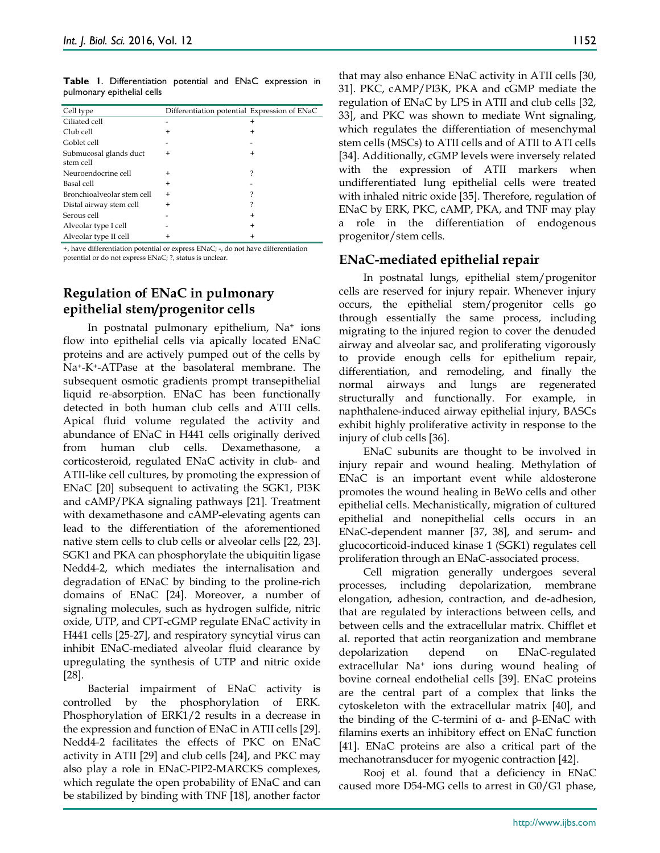**Table 1**. Differentiation potential and ENaC expression in pulmonary epithelial cells

| Cell type                  | Differentiation potential Expression of ENaC |           |
|----------------------------|----------------------------------------------|-----------|
| Ciliated cell              |                                              | $\,^+$    |
| Club cell                  | $\ddot{}$                                    | $\ddot{}$ |
| Goblet cell                |                                              |           |
| Submucosal glands duct     | $\ddot{}$                                    | $\ddot{}$ |
| stem cell                  |                                              |           |
| Neuroendocrine cell        | $\ddot{}$                                    | ?         |
| Basal cell                 | $\ddot{}$                                    |           |
| Bronchioalveolar stem cell | $+$                                          | ?         |
| Distal airway stem cell    | $+$                                          | ?         |
| Serous cell                |                                              | $\ddot{}$ |
| Alveolar type I cell       |                                              | $\ddot{}$ |
| Alveolar type II cell      | $\,{}^+$                                     |           |

+, have differentiation potential or express ENaC; -, do not have differentiation potential or do not express ENaC; ?, status is unclear.

# **Regulation of ENaC in pulmonary epithelial stem/progenitor cells**

In postnatal pulmonary epithelium, Na+ ions flow into epithelial cells via apically located ENaC proteins and are actively pumped out of the cells by Na+-K+-ATPase at the basolateral membrane. The subsequent osmotic gradients prompt transepithelial liquid re-absorption. ENaC has been functionally detected in both human club cells and ATII cells. Apical fluid volume regulated the activity and abundance of ENaC in H441 cells originally derived from human club cells. Dexamethasone, a corticosteroid, regulated ENaC activity in club- and ATII-like cell cultures, by promoting the expression of ENaC [20] subsequent to activating the SGK1, PI3K and cAMP/PKA signaling pathways [21]. Treatment with dexamethasone and cAMP-elevating agents can lead to the differentiation of the aforementioned native stem cells to club cells or alveolar cells [22, 23]. SGK1 and PKA can phosphorylate the ubiquitin ligase Nedd4-2, which mediates the internalisation and degradation of ENaC by binding to the proline-rich domains of ENaC [24]. Moreover, a number of signaling molecules, such as hydrogen sulfide, nitric oxide, UTP, and CPT-cGMP regulate ENaC activity in H441 cells [25-27], and respiratory syncytial virus can inhibit ENaC-mediated alveolar fluid clearance by upregulating the synthesis of UTP and nitric oxide [28].

Bacterial impairment of ENaC activity is controlled by the phosphorylation of ERK. Phosphorylation of ERK1/2 results in a decrease in the expression and function of ENaC in ATII cells [29]. Nedd4-2 facilitates the effects of PKC on ENaC activity in ATII [29] and club cells [24], and PKC may also play a role in ENaC-PIP2-MARCKS complexes, which regulate the open probability of ENaC and can be stabilized by binding with TNF [18], another factor

that may also enhance ENaC activity in ATII cells [30, 31]. PKC, cAMP/PI3K, PKA and cGMP mediate the regulation of ENaC by LPS in ATII and club cells [32, 33], and PKC was shown to mediate Wnt signaling, which regulates the differentiation of mesenchymal stem cells (MSCs) to ATII cells and of ATII to ATI cells [34]. Additionally, cGMP levels were inversely related with the expression of ATII markers when undifferentiated lung epithelial cells were treated with inhaled nitric oxide [35]. Therefore, regulation of ENaC by ERK, PKC, cAMP, PKA, and TNF may play a role in the differentiation of endogenous progenitor/stem cells.

# **ENaC-mediated epithelial repair**

In postnatal lungs, epithelial stem/progenitor cells are reserved for injury repair. Whenever injury occurs, the epithelial stem/progenitor cells go through essentially the same process, including migrating to the injured region to cover the denuded airway and alveolar sac, and proliferating vigorously to provide enough cells for epithelium repair, differentiation, and remodeling, and finally the normal airways and lungs are regenerated structurally and functionally. For example, in naphthalene-induced airway epithelial injury, BASCs exhibit highly proliferative activity in response to the injury of club cells [36].

ENaC subunits are thought to be involved in injury repair and wound healing. Methylation of ENaC is an important event while aldosterone promotes the wound healing in BeWo cells and other epithelial cells. Mechanistically, migration of cultured epithelial and nonepithelial cells occurs in an ENaC-dependent manner [37, 38], and serum- and glucocorticoid-induced kinase 1 (SGK1) regulates cell proliferation through an ENaC-associated process.

Cell migration generally undergoes several processes, including depolarization, membrane elongation, adhesion, contraction, and de-adhesion, that are regulated by interactions between cells, and between cells and the extracellular matrix. Chifflet et al. reported that actin reorganization and membrane depolarization depend on ENaC-regulated extracellular Na+ ions during wound healing of bovine corneal endothelial cells [39]. ENaC proteins are the central part of a complex that links the cytoskeleton with the extracellular matrix [40], and the binding of the C-termini of  $α$ - and  $β$ -ENaC with filamins exerts an inhibitory effect on ENaC function [41]. ENaC proteins are also a critical part of the mechanotransducer for myogenic contraction [42].

Rooj et al. found that a deficiency in ENaC caused more D54-MG cells to arrest in G0/G1 phase,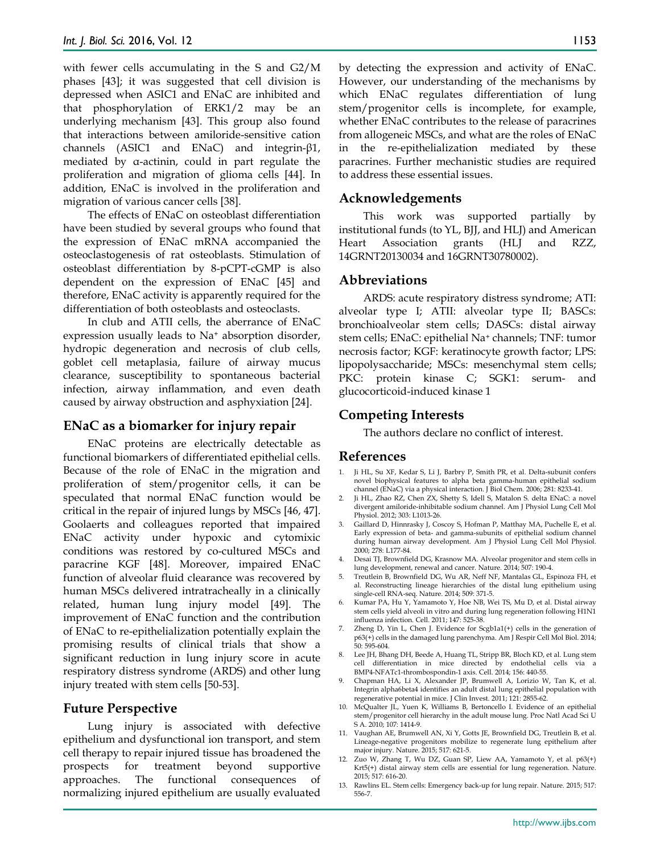with fewer cells accumulating in the S and G2/M phases [43]; it was suggested that cell division is depressed when ASIC1 and ENaC are inhibited and that phosphorylation of ERK1/2 may be an underlying mechanism [43]. This group also found that interactions between amiloride-sensitive cation channels (ASIC1 and ENaC) and integrin-β1, mediated by α-actinin, could in part regulate the proliferation and migration of glioma cells [44]. In addition, ENaC is involved in the proliferation and migration of various cancer cells [38].

The effects of ENaC on osteoblast differentiation have been studied by several groups who found that the expression of ENaC mRNA accompanied the osteoclastogenesis of rat osteoblasts. Stimulation of osteoblast differentiation by 8-pCPT-cGMP is also dependent on the expression of ENaC [45] and therefore, ENaC activity is apparently required for the differentiation of both osteoblasts and osteoclasts.

In club and ATII cells, the aberrance of ENaC expression usually leads to Na+ absorption disorder, hydropic degeneration and necrosis of club cells, goblet cell metaplasia, failure of airway mucus clearance, susceptibility to spontaneous bacterial infection, airway inflammation, and even death caused by airway obstruction and asphyxiation [24].

#### **ENaC as a biomarker for injury repair**

ENaC proteins are electrically detectable as functional biomarkers of differentiated epithelial cells. Because of the role of ENaC in the migration and proliferation of stem/progenitor cells, it can be speculated that normal ENaC function would be critical in the repair of injured lungs by MSCs [46, 47]. Goolaerts and colleagues reported that impaired ENaC activity under hypoxic and cytomixic conditions was restored by co-cultured MSCs and paracrine KGF [48]. Moreover, impaired ENaC function of alveolar fluid clearance was recovered by human MSCs delivered intratracheally in a clinically related, human lung injury model [49]. The improvement of ENaC function and the contribution of ENaC to re-epithelialization potentially explain the promising results of clinical trials that show a significant reduction in lung injury score in acute respiratory distress syndrome (ARDS) and other lung injury treated with stem cells [50-53].

#### **Future Perspective**

Lung injury is associated with defective epithelium and dysfunctional ion transport, and stem cell therapy to repair injured tissue has broadened the prospects for treatment beyond supportive approaches. The functional consequences of normalizing injured epithelium are usually evaluated

by detecting the expression and activity of ENaC. However, our understanding of the mechanisms by which ENaC regulates differentiation of lung stem/progenitor cells is incomplete, for example, whether ENaC contributes to the release of paracrines from allogeneic MSCs, and what are the roles of ENaC in the re-epithelialization mediated by these paracrines. Further mechanistic studies are required to address these essential issues.

#### **Acknowledgements**

This work was supported partially by institutional funds (to YL, BJJ, and HLJ) and American Heart Association grants (HLJ and RZZ, 14GRNT20130034 and 16GRNT30780002).

#### **Abbreviations**

ARDS: acute respiratory distress syndrome; ATI: alveolar type I; ATII: alveolar type II; BASCs: bronchioalveolar stem cells; DASCs: distal airway stem cells; ENaC: epithelial Na<sup>+</sup> channels; TNF: tumor necrosis factor; KGF: keratinocyte growth factor; LPS: lipopolysaccharide; MSCs: mesenchymal stem cells; PKC: protein kinase C; SGK1: serum- and glucocorticoid-induced kinase 1

## **Competing Interests**

The authors declare no conflict of interest.

#### **References**

- 1. Ji HL, Su XF, Kedar S, Li J, Barbry P, Smith PR, et al. Delta-subunit confers novel biophysical features to alpha beta gamma-human epithelial sodium channel (ENaC) via a physical interaction. J Biol Chem. 2006; 281: 8233-41.
- 2. Ji HL, Zhao RZ, Chen ZX, Shetty S, Idell S, Matalon S. delta ENaC: a novel divergent amiloride-inhibitable sodium channel. Am J Physiol Lung Cell Mol Physiol. 2012; 303: L1013-26.
- 3. Gaillard D, Hinnrasky J, Coscoy S, Hofman P, Matthay MA, Puchelle E, et al. Early expression of beta- and gamma-subunits of epithelial sodium channel during human airway development. Am J Physiol Lung Cell Mol Physiol. 2000; 278: L177-84.
- 4. Desai TJ, Brownfield DG, Krasnow MA. Alveolar progenitor and stem cells in lung development, renewal and cancer. Nature. 2014; 507: 190-4.
- 5. Treutlein B, Brownfield DG, Wu AR, Neff NF, Mantalas GL, Espinoza FH, et al. Reconstructing lineage hierarchies of the distal lung epithelium using single-cell RNA-seq. Nature. 2014; 509: 371-5.
- 6. Kumar PA, Hu Y, Yamamoto Y, Hoe NB, Wei TS, Mu D, et al. Distal airway stem cells yield alveoli in vitro and during lung regeneration following H1N1 influenza infection. Cell. 2011; 147: 525-38.
- 7. Zheng D, Yin L, Chen J. Evidence for Scgb1a1(+) cells in the generation of p63(+) cells in the damaged lung parenchyma. Am J Respir Cell Mol Biol. 2014; 50: 595-604.
- 8. Lee JH, Bhang DH, Beede A, Huang TL, Stripp BR, Bloch KD, et al. Lung stem cell differentiation in mice directed by endothelial cells via a BMP4-NFATc1-thrombospondin-1 axis. Cell. 2014; 156: 440-55.
- 9. Chapman HA, Li X, Alexander JP, Brumwell A, Lorizio W, Tan K, et al. Integrin alpha6beta4 identifies an adult distal lung epithelial population with regenerative potential in mice. J Clin Invest. 2011; 121: 2855-62.
- 10. McQualter JL, Yuen K, Williams B, Bertoncello I. Evidence of an epithelial stem/progenitor cell hierarchy in the adult mouse lung. Proc Natl Acad Sci U S A. 2010; 107: 1414-9.
- 11. Vaughan AE, Brumwell AN, Xi Y, Gotts JE, Brownfield DG, Treutlein B, et al. Lineage-negative progenitors mobilize to regenerate lung epithelium after major injury. Nature. 2015; 517: 621-5.
- 12. Zuo W, Zhang T, Wu DZ, Guan SP, Liew AA, Yamamoto Y, et al. p63(+) Krt5(+) distal airway stem cells are essential for lung regeneration. Nature. 2015; 517: 616-20.
- 13. Rawlins EL. Stem cells: Emergency back-up for lung repair. Nature. 2015; 517: 556-7.